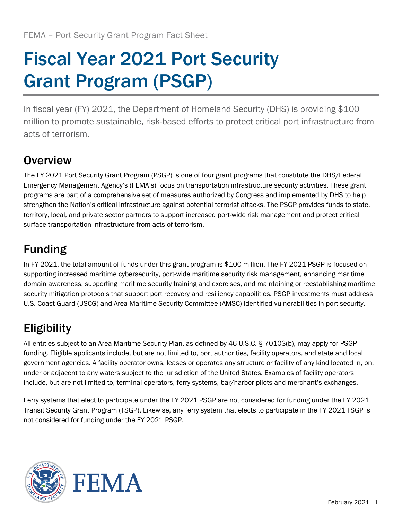# Fiscal Year 2021 Port Security Grant Program (PSGP)

In fiscal year (FY) 2021, the Department of Homeland Security (DHS) is providing \$100 million to promote sustainable, risk-based efforts to protect critical port infrastructure from acts of terrorism.

## **Overview**

The FY 2021 Port Security Grant Program (PSGP) is one of four grant programs that constitute the DHS/Federal Emergency Management Agency's (FEMA's) focus on transportation infrastructure security activities. These grant programs are part of a comprehensive set of measures authorized by Congress and implemented by DHS to help strengthen the Nation's critical infrastructure against potential terrorist attacks. The PSGP provides funds to state, territory, local, and private sector partners to support increased port-wide risk management and protect critical surface transportation infrastructure from acts of terrorism.

## Funding

In FY 2021, the total amount of funds under this grant program is \$100 million. The FY 2021 PSGP is focused on supporting increased maritime cybersecurity, port-wide maritime security risk management, enhancing maritime domain awareness, supporting maritime security training and exercises, and maintaining or reestablishing maritime security mitigation protocols that support port recovery and resiliency capabilities. PSGP investments must address U.S. Coast Guard (USCG) and Area Maritime Security Committee (AMSC) identified vulnerabilities in port security.

## Eligibility

All entities subject to an Area Maritime Security Plan, as defined by 46 U.S.C. § 70103(b), may apply for PSGP funding. Eligible applicants include, but are not limited to, port authorities, facility operators, and state and local government agencies. A facility operator owns, leases or operates any structure or facility of any kind located in, on, under or adjacent to any waters subject to the jurisdiction of the United States. Examples of facility operators include, but are not limited to, terminal operators, ferry systems, bar/harbor pilots and merchant's exchanges.

Ferry systems that elect to participate under the FY 2021 PSGP are not considered for funding under the FY 2021 Transit Security Grant Program (TSGP). Likewise, any ferry system that elects to participate in the FY 2021 TSGP is not considered for funding under the FY 2021 PSGP.